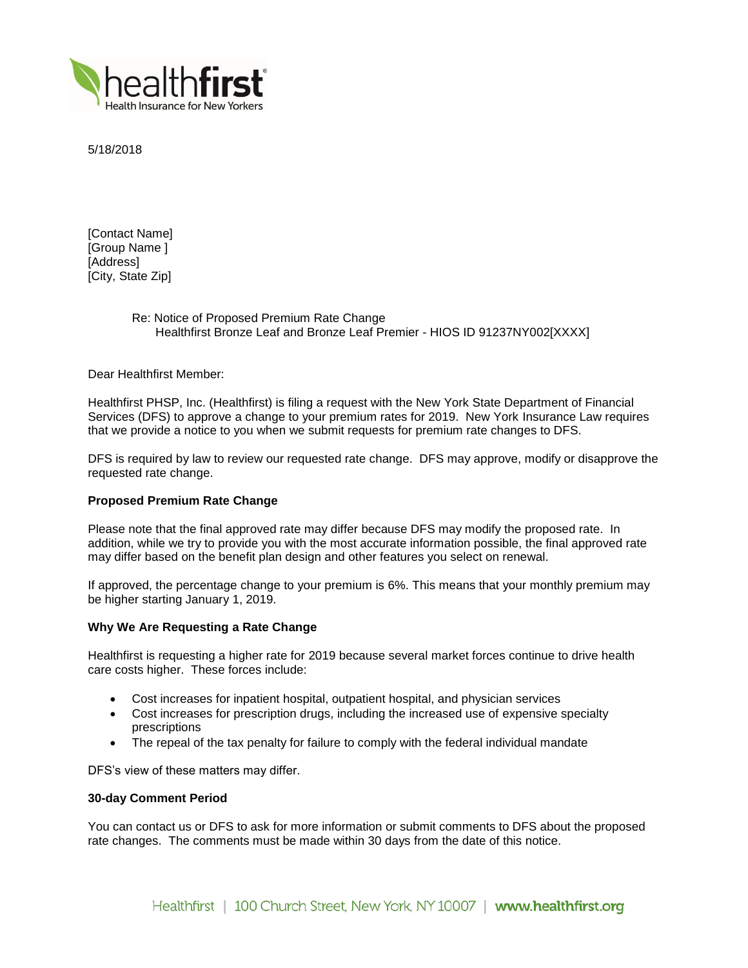

5/18/2018

[Contact Name] [Group Name ] [Address] [City, State Zip]

> Re: Notice of Proposed Premium Rate Change Healthfirst Bronze Leaf and Bronze Leaf Premier - HIOS ID 91237NY002[XXXX]

Dear Healthfirst Member:

Healthfirst PHSP, Inc. (Healthfirst) is filing a request with the New York State Department of Financial Services (DFS) to approve a change to your premium rates for 2019. New York Insurance Law requires that we provide a notice to you when we submit requests for premium rate changes to DFS.

DFS is required by law to review our requested rate change. DFS may approve, modify or disapprove the requested rate change.

# **Proposed Premium Rate Change**

Please note that the final approved rate may differ because DFS may modify the proposed rate. In addition, while we try to provide you with the most accurate information possible, the final approved rate may differ based on the benefit plan design and other features you select on renewal.

If approved, the percentage change to your premium is 6%. This means that your monthly premium may be higher starting January 1, 2019.

## **Why We Are Requesting a Rate Change**

Healthfirst is requesting a higher rate for 2019 because several market forces continue to drive health care costs higher. These forces include:

- Cost increases for inpatient hospital, outpatient hospital, and physician services
- Cost increases for prescription drugs, including the increased use of expensive specialty prescriptions
- The repeal of the tax penalty for failure to comply with the federal individual mandate

DFS's view of these matters may differ.

## **30-day Comment Period**

You can contact us or DFS to ask for more information or submit comments to DFS about the proposed rate changes. The comments must be made within 30 days from the date of this notice.